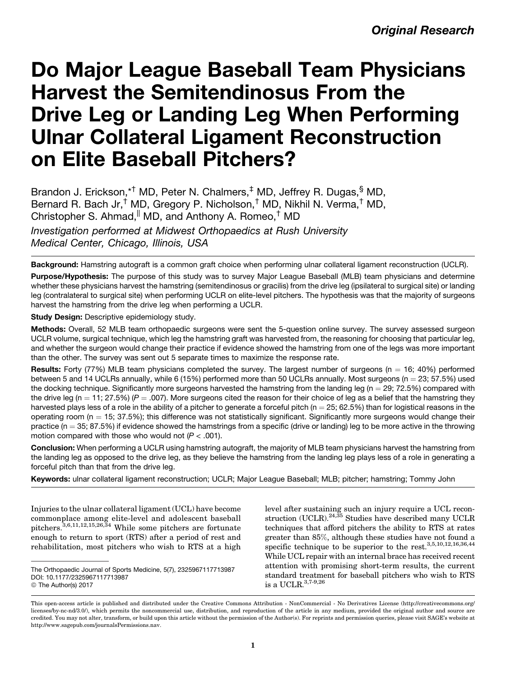# Do Major League Baseball Team Physicians Harvest the Semitendinosus From the Drive Leg or Landing Leg When Performing Ulnar Collateral Ligament Reconstruction on Elite Baseball Pitchers?

Brandon J. Erickson,<sup>\*†</sup> MD, Peter N. Chalmers,<sup>‡</sup> MD, Jeffrey R. Dugas, <sup>§</sup> MD, Bernard R. Bach Jr,<sup>†</sup> MD, Gregory P. Nicholson,<sup>†</sup> MD, Nikhil N. Verma,<sup>†</sup> MD, Christopher S. Ahmad, MD, and Anthony A. Romeo,<sup>†</sup> MD

Investigation performed at Midwest Orthopaedics at Rush University Medical Center, Chicago, Illinois, USA

Background: Hamstring autograft is a common graft choice when performing ulnar collateral ligament reconstruction (UCLR).

Purpose/Hypothesis: The purpose of this study was to survey Major League Baseball (MLB) team physicians and determine whether these physicians harvest the hamstring (semitendinosus or gracilis) from the drive leg (ipsilateral to surgical site) or landing leg (contralateral to surgical site) when performing UCLR on elite-level pitchers. The hypothesis was that the majority of surgeons harvest the hamstring from the drive leg when performing a UCLR.

Study Design: Descriptive epidemiology study.

Methods: Overall, 52 MLB team orthopaedic surgeons were sent the 5-question online survey. The survey assessed surgeon UCLR volume, surgical technique, which leg the hamstring graft was harvested from, the reasoning for choosing that particular leg, and whether the surgeon would change their practice if evidence showed the hamstring from one of the legs was more important than the other. The survey was sent out 5 separate times to maximize the response rate.

**Results:** Forty (77%) MLB team physicians completed the survey. The largest number of surgeons (n = 16; 40%) performed between 5 and 14 UCLRs annually, while 6 (15%) performed more than 50 UCLRs annually. Most surgeons ( $n = 23$ ; 57.5%) used the docking technique. Significantly more surgeons harvested the hamstring from the landing leg ( $n = 29$ ; 72.5%) compared with the drive leg (n = 11; 27.5%) (P = .007). More surgeons cited the reason for their choice of leg as a belief that the hamstring they harvested plays less of a role in the ability of a pitcher to generate a forceful pitch ( $n = 25$ ; 62.5%) than for logistical reasons in the operating room ( $n = 15$ ; 37.5%); this difference was not statistically significant. Significantly more surgeons would change their practice  $(n = 35; 87.5%)$  if evidence showed the hamstrings from a specific (drive or landing) leg to be more active in the throwing motion compared with those who would not  $(P < .001)$ .

Conclusion: When performing a UCLR using hamstring autograft, the majority of MLB team physicians harvest the hamstring from the landing leg as opposed to the drive leg, as they believe the hamstring from the landing leg plays less of a role in generating a forceful pitch than that from the drive leg.

Keywords: ulnar collateral ligament reconstruction; UCLR; Major League Baseball; MLB; pitcher; hamstring; Tommy John

Injuries to the ulnar collateral ligament (UCL) have become commonplace among elite-level and adolescent baseball pitchers.<sup>3,6,11,12,15,26,34</sup> While some pitchers are fortunate enough to return to sport (RTS) after a period of rest and rehabilitation, most pitchers who wish to RTS at a high level after sustaining such an injury require a UCL reconstruction (UCLR).<sup>24,35</sup> Studies have described many UCLR techniques that afford pitchers the ability to RTS at rates greater than 85%, although these studies have not found a specific technique to be superior to the rest.<sup>3,5,10,12,16,36,44</sup> While UCL repair with an internal brace has received recent attention with promising short-term results, the current standard treatment for baseball pitchers who wish to RTS is a UCLR.  $^{3,7\text{-}9,26}$ 

The Orthopaedic Journal of Sports Medicine, 5(7), 2325967117713987 DOI: 10.1177/2325967117713987 © The Author(s) 2017

This open-access article is published and distributed under the Creative Commons Attribution - NonCommercial - No Derivatives License (http://creativecommons.org/ licenses/by-nc-nd/3.0/), which permits the noncommercial use, distribution, and reproduction of the article in any medium, provided the original author and source are credited. You may not alter, transform, or build upon this article without the permission of the Author(s). For reprints and permission queries, please visit SAGE's website at http://www.sagepub.com/journalsPermissions.nav.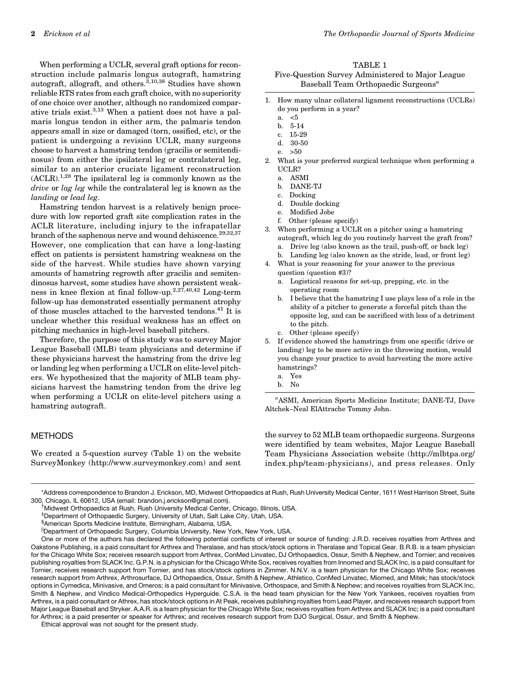When performing a UCLR, several graft options for reconstruction include palmaris longus autograft, hamstring autograft, allograft, and others.<sup>3,10,38</sup> Studies have shown reliable RTS rates from each graft choice, with no superiority of one choice over another, although no randomized comparative trials exist.3,13 When a patient does not have a palmaris longus tendon in either arm, the palmaris tendon appears small in size or damaged (torn, ossified, etc), or the patient is undergoing a revision UCLR, many surgeons choose to harvest a hamstring tendon (gracilis or semitendinosus) from either the ipsilateral leg or contralateral leg, similar to an anterior cruciate ligament reconstruction (ACLR).1,28 The ipsilateral leg is commonly known as the drive or lag leg while the contralateral leg is known as the landing or lead leg.

Hamstring tendon harvest is a relatively benign procedure with low reported graft site complication rates in the ACLR literature, including injury to the infrapatellar branch of the saphenous nerve and wound dehiscence.<sup>29,32,37</sup> However, one complication that can have a long-lasting effect on patients is persistent hamstring weakness on the side of the harvest. While studies have shown varying amounts of hamstring regrowth after gracilis and semitendinosus harvest, some studies have shown persistent weakness in knee flexion at final follow-up.<sup>2,27,40,42</sup> Long-term follow-up has demonstrated essentially permanent atrophy of those muscles attached to the harvested tendons.41 It is unclear whether this residual weakness has an effect on pitching mechanics in high-level baseball pitchers.

Therefore, the purpose of this study was to survey Major League Baseball (MLB) team physicians and determine if these physicians harvest the hamstring from the drive leg or landing leg when performing a UCLR on elite-level pitchers. We hypothesized that the majority of MLB team physicians harvest the hamstring tendon from the drive leg when performing a UCLR on elite-level pitchers using a hamstring autograft.

## METHODS

We created a 5-question survey (Table 1) on the website SurveyMonkey (http://www.surveymonkey.com) and sent

TABLE 1 Five-Question Survey Administered to Major League Baseball Team Orthopaedic Surgeons<sup> $a$ </sup>

- 1. How many ulnar collateral ligament reconstructions (UCLRs) do you perform in a year?
	- a. <5
	- b. 5-14
	- c. 15-29
	- d. 30-50
	- e. >50
- 2. What is your preferred surgical technique when performing a UCLR?
	- a. ASMI
	- b. DANE-TJ
	- c. Docking
	- d. Double docking
	- e. Modified Jobe
	- f. Other (please specify)
- 3. When performing a UCLR on a pitcher using a hamstring autograft, which leg do you routinely harvest the graft from? a. Drive leg (also known as the trail, push-off, or back leg)
	- b. Landing leg (also known as the stride, lead, or front leg)
- 4. What is your reasoning for your answer to the previous question (question #3)?
	- a. Logistical reasons for set-up, prepping, etc. in the operating room
	- b. I believe that the hamstring I use plays less of a role in the ability of a pitcher to generate a forceful pitch than the opposite leg, and can be sacrificed with less of a detriment to the pitch.
	- c. Other (please specify)
- 5. If evidence showed the hamstrings from one specific (drive or landing) leg to be more active in the throwing motion, would you change your practice to avoid harvesting the more active hamstrings?
	- a. Yes
	- b. No

a ASMI, American Sports Medicine Institute; DANE-TJ, Dave Altchek–Neal ElAttrache Tommy John.

the survey to 52 MLB team orthopaedic surgeons. Surgeons were identified by team websites, Major League Baseball Team Physicians Association website (http://mlbtpa.org/ index.php/team-physicians), and press releases. Only

\*Address correspondence to Brandon J. Erickson, MD, Midwest Orthopaedics at Rush, Rush University Medical Center, 1611 West Harrison Street, Suite 300, Chicago, IL 60612, USA (email: brandon.j.erickson@gmail.com). †

<sup>†</sup>Midwest Orthopaedics at Rush, Rush University Medical Center, Chicago, Illinois, USA.

§ American Sports Medicine Institute, Birmingham, Alabama, USA.

||Department of Orthopaedic Surgery, Columbia University, New York, New York, USA.

Ethical approval was not sought for the present study.

<sup>‡</sup> Department of Orthopaedic Surgery, University of Utah, Salt Lake City, Utah, USA.

One or more of the authors has declared the following potential conflicts of interest or source of funding: J.R.D. receives royalties from Arthrex and Oakstone Publishing, is a paid consultant for Arthrex and Theralase, and has stock/stock options in Theralase and Topical Gear. B.R.B. is a team physician for the Chicago White Sox; receives research support from Arthrex, ConMed Linvatec, DJ Orthopaedics, Ossur, Smith & Nephew, and Tornier; and receives publishing royalties from SLACK Inc. G.P.N. is a physician for the Chicago White Sox, receives royalties from Innomed and SLACK Inc, is a paid consultant for Tornier, receives research support from Tornier, and has stock/stock options in Zimmer. N.N.V. is a team physician for the Chicago White Sox; receives research support from Arthrex, Arthrosurface, DJ Orthopaedics, Ossur, Smith & Nephew, Athletico, ConMed Linvatec, Miomed, and Mitek; has stock/stock options in Cymedica, Minivasive, and Omeros; is a paid consultant for Minivasive, Orthospace, and Smith & Nephew; and receives royalties from SLACK Inc, Smith & Nephew, and Vindico Medical-Orthopedics Hyperguide. C.S.A. is the head team physician for the New York Yankees, receives royalties from Arthrex, is a paid consultant or Athrex, has stock/stock options in At Peak, receives publishing royalties from Lead Player, and receives research support from Major League Baseball and Stryker. A.A.R. is a team physician for the Chicago White Sox; receives royalties from Arthrex and SLACK Inc; is a paid consultant for Arthrex; is a paid presenter or speaker for Arthrex; and receives research support from DJO Surgical, Ossur, and Smith & Nephew.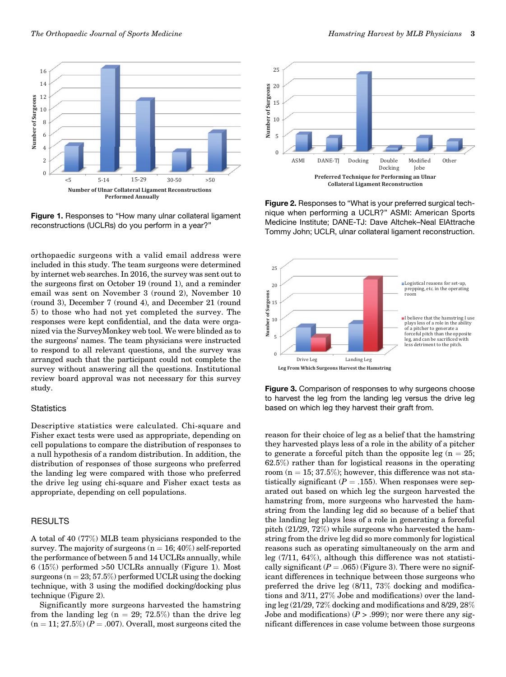

Figure 1. Responses to "How many ulnar collateral ligament reconstructions (UCLRs) do you perform in a year?"

orthopaedic surgeons with a valid email address were included in this study. The team surgeons were determined by internet web searches. In 2016, the survey was sent out to the surgeons first on October 19 (round 1), and a reminder email was sent on November 3 (round 2), November 10 (round 3), December 7 (round 4), and December 21 (round 5) to those who had not yet completed the survey. The responses were kept confidential, and the data were organized via the SurveyMonkey web tool. We were blinded as to the surgeons' names. The team physicians were instructed to respond to all relevant questions, and the survey was arranged such that the participant could not complete the survey without answering all the questions. Institutional review board approval was not necessary for this survey study.

#### **Statistics**

Descriptive statistics were calculated. Chi-square and Fisher exact tests were used as appropriate, depending on cell populations to compare the distribution of responses to a null hypothesis of a random distribution. In addition, the distribution of responses of those surgeons who preferred the landing leg were compared with those who preferred the drive leg using chi-square and Fisher exact tests as appropriate, depending on cell populations.

## RESULTS

A total of 40 (77%) MLB team physicians responded to the survey. The majority of surgeons ( $n = 16$ ; 40%) self-reported the performance of between 5 and 14 UCLRs annually, while 6 (15%) performed >50 UCLRs annually (Figure 1). Most surgeons ( $n = 23$ ; 57.5%) performed UCLR using the docking technique, with 3 using the modified docking/docking plus technique (Figure 2).

Significantly more surgeons harvested the hamstring from the landing leg ( $n = 29$ ; 72.5%) than the drive leg  $(n = 11; 27.5\%) (P = .007)$ . Overall, most surgeons cited the



Figure 2. Responses to "What is your preferred surgical technique when performing a UCLR?" ASMI: American Sports Medicine Institute; DANE-TJ: Dave Altchek–Neal ElAttrache Tommy John; UCLR, ulnar collateral ligament reconstruction.



Figure 3. Comparison of responses to why surgeons choose to harvest the leg from the landing leg versus the drive leg based on which leg they harvest their graft from.

reason for their choice of leg as a belief that the hamstring they harvested plays less of a role in the ability of a pitcher to generate a forceful pitch than the opposite leg  $(n = 25)$ ; 62.5%) rather than for logistical reasons in the operating room ( $n = 15$ ; 37.5%); however, this difference was not statistically significant ( $P = .155$ ). When responses were separated out based on which leg the surgeon harvested the hamstring from, more surgeons who harvested the hamstring from the landing leg did so because of a belief that the landing leg plays less of a role in generating a forceful pitch (21/29, 72%) while surgeons who harvested the hamstring from the drive leg did so more commonly for logistical reasons such as operating simultaneously on the arm and leg (7/11, 64%), although this difference was not statistically significant ( $P = .065$ ) (Figure 3). There were no significant differences in technique between those surgeons who preferred the drive leg (8/11, 73% docking and modifications and 3/11, 27% Jobe and modifications) over the landing leg (21/29, 72% docking and modifications and 8/29, 28% Jobe and modifications) ( $P > .999$ ); nor were there any significant differences in case volume between those surgeons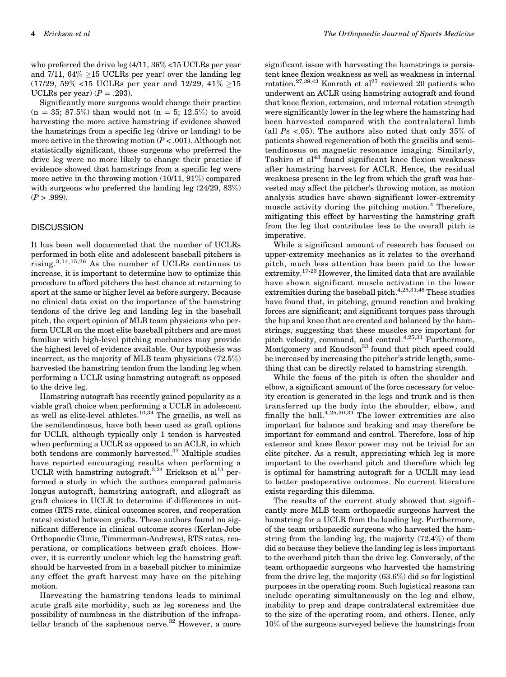who preferred the drive leg (4/11, 36% <15 UCLRs per year and  $7/11$ ,  $64\% \ge 15$  UCLRs per year) over the landing leg  $(17/29,\ 59\%$  <15 UCLRs per year and  $12/29,\ 41\%$   $\geq$ 15 UCLRs per year)  $(P=.293)$ .

Significantly more surgeons would change their practice  $(n = 35; 87.5\%)$  than would not  $(n = 5; 12.5\%)$  to avoid harvesting the more active hamstring if evidence showed the hamstrings from a specific leg (drive or landing) to be more active in the throwing motion  $(P < .001)$ . Although not statistically significant, those surgeons who preferred the drive leg were no more likely to change their practice if evidence showed that hamstrings from a specific leg were more active in the throwing motion (10/11, 91%) compared with surgeons who preferred the landing leg (24/29, 83%)  $(P > .999)$ .

#### **DISCUSSION**

It has been well documented that the number of UCLRs performed in both elite and adolescent baseball pitchers is rising.3,14,15,26 As the number of UCLRs continues to increase, it is important to determine how to optimize this procedure to afford pitchers the best chance at returning to sport at the same or higher level as before surgery. Because no clinical data exist on the importance of the hamstring tendons of the drive leg and landing leg in the baseball pitch, the expert opinion of MLB team physicians who perform UCLR on the most elite baseball pitchers and are most familiar with high-level pitching mechanics may provide the highest level of evidence available. Our hypothesis was incorrect, as the majority of MLB team physicians (72.5%) harvested the hamstring tendon from the landing leg when performing a UCLR using hamstring autograft as opposed to the drive leg.

Hamstring autograft has recently gained popularity as a viable graft choice when performing a UCLR in adolescent as well as elite-level athletes.<sup>10,34</sup> The gracilis, as well as the semitendinosus, have both been used as graft options for UCLR, although typically only 1 tendon is harvested when performing a UCLR as opposed to an ACLR, in which both tendons are commonly harvested. $32$  Multiple studies have reported encouraging results when performing a UCLR with hamstring autograft.<sup>3,34</sup> Erickson et al<sup>13</sup> performed a study in which the authors compared palmaris longus autograft, hamstring autograft, and allograft as graft choices in UCLR to determine if differences in outcomes (RTS rate, clinical outcomes scores, and reoperation rates) existed between grafts. These authors found no significant difference in clinical outcome scores (Kerlan-Jobe Orthopaedic Clinic, Timmerman-Andrews), RTS rates, reoperations, or complications between graft choices. However, it is currently unclear which leg the hamstring graft should be harvested from in a baseball pitcher to minimize any effect the graft harvest may have on the pitching motion.

Harvesting the hamstring tendons leads to minimal acute graft site morbidity, such as leg soreness and the possibility of numbness in the distribution of the infrapatellar branch of the saphenous nerve.<sup>32</sup> However, a more significant issue with harvesting the hamstrings is persistent knee flexion weakness as well as weakness in internal rotation.<sup>27,39,43</sup> Konrath et al<sup>27</sup> reviewed 20 patients who underwent an ACLR using hamstring autograft and found that knee flexion, extension, and internal rotation strength were significantly lower in the leg where the hamstring had been harvested compared with the contralateral limb (all  $Ps$  <.05). The authors also noted that only 35% of patients showed regeneration of both the gracilis and semitendinosus on magnetic resonance imaging. Similarly, Tashiro et al $^{43}$  found significant knee flexion weakness after hamstring harvest for ACLR. Hence, the residual weakness present in the leg from which the graft was harvested may affect the pitcher's throwing motion, as motion analysis studies have shown significant lower-extremity muscle activity during the pitching motion.<sup>4</sup> Therefore, mitigating this effect by harvesting the hamstring graft from the leg that contributes less to the overall pitch is imperative.

While a significant amount of research has focused on upper-extremity mechanics as it relates to the overhand pitch, much less attention has been paid to the lower extremity.<sup>17-23</sup> However, the limited data that are available have shown significant muscle activation in the lower extremities during the baseball pitch. $4,25,31,45$  These studies have found that, in pitching, ground reaction and braking forces are significant; and significant torques pass through the hip and knee that are created and balanced by the hamstrings, suggesting that these muscles are important for pitch velocity, command, and control.<sup>4,25,31</sup> Furthermore, Montgomery and Knudson<sup>33</sup> found that pitch speed could be increased by increasing the pitcher's stride length, something that can be directly related to hamstring strength.

While the focus of the pitch is often the shoulder and elbow, a significant amount of the force necessary for velocity creation is generated in the legs and trunk and is then transferred up the body into the shoulder, elbow, and finally the ball.<sup>4,25,30,31</sup> The lower extremities are also important for balance and braking and may therefore be important for command and control. Therefore, loss of hip extensor and knee flexor power may not be trivial for an elite pitcher. As a result, appreciating which leg is more important to the overhand pitch and therefore which leg is optimal for hamstring autograft for a UCLR may lead to better postoperative outcomes. No current literature exists regarding this dilemma.

The results of the current study showed that significantly more MLB team orthopaedic surgeons harvest the hamstring for a UCLR from the landing leg. Furthermore, of the team orthopaedic surgeons who harvested the hamstring from the landing leg, the majority (72.4%) of them did so because they believe the landing leg is less important to the overhand pitch than the drive leg. Conversely, of the team orthopaedic surgeons who harvested the hamstring from the drive leg, the majority (63.6%) did so for logistical purposes in the operating room. Such logistical reasons can include operating simultaneously on the leg and elbow, inability to prep and drape contralateral extremities due to the size of the operating room, and others. Hence, only 10% of the surgeons surveyed believe the hamstrings from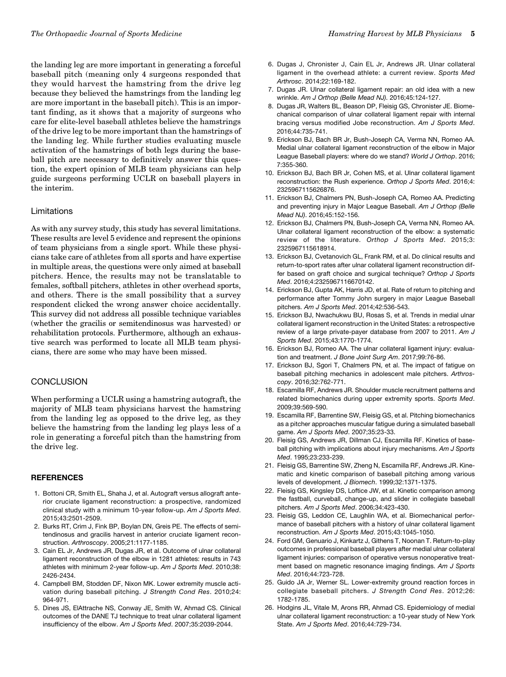the landing leg are more important in generating a forceful baseball pitch (meaning only 4 surgeons responded that they would harvest the hamstring from the drive leg because they believed the hamstrings from the landing leg are more important in the baseball pitch). This is an important finding, as it shows that a majority of surgeons who care for elite-level baseball athletes believe the hamstrings of the drive leg to be more important than the hamstrings of the landing leg. While further studies evaluating muscle activation of the hamstrings of both legs during the baseball pitch are necessary to definitively answer this question, the expert opinion of MLB team physicians can help guide surgeons performing UCLR on baseball players in the interim.

### Limitations

As with any survey study, this study has several limitations. These results are level 5 evidence and represent the opinions of team physicians from a single sport. While these physicians take care of athletes from all sports and have expertise in multiple areas, the questions were only aimed at baseball pitchers. Hence, the results may not be translatable to females, softball pitchers, athletes in other overhead sports, and others. There is the small possibility that a survey respondent clicked the wrong answer choice accidentally. This survey did not address all possible technique variables (whether the gracilis or semitendinosus was harvested) or rehabilitation protocols. Furthermore, although an exhaustive search was performed to locate all MLB team physicians, there are some who may have been missed.

## **CONCLUSION**

When performing a UCLR using a hamstring autograft, the majority of MLB team physicians harvest the hamstring from the landing leg as opposed to the drive leg, as they believe the hamstring from the landing leg plays less of a role in generating a forceful pitch than the hamstring from the drive leg.

#### **REFERENCES**

- 1. Bottoni CR, Smith EL, Shaha J, et al. Autograft versus allograft anterior cruciate ligament reconstruction: a prospective, randomized clinical study with a minimum 10-year follow-up. Am J Sports Med. 2015;43:2501-2509.
- 2. Burks RT, Crim J, Fink BP, Boylan DN, Greis PE. The effects of semitendinosus and gracilis harvest in anterior cruciate ligament reconstruction. Arthroscopy. 2005;21:1177-1185.
- 3. Cain EL Jr, Andrews JR, Dugas JR, et al. Outcome of ulnar collateral ligament reconstruction of the elbow in 1281 athletes: results in 743 athletes with minimum 2-year follow-up. Am J Sports Med. 2010;38: 2426-2434.
- 4. Campbell BM, Stodden DF, Nixon MK. Lower extremity muscle activation during baseball pitching. J Strength Cond Res. 2010;24: 964-971.
- 5. Dines JS, ElAttrache NS, Conway JE, Smith W, Ahmad CS. Clinical outcomes of the DANE TJ technique to treat ulnar collateral ligament insufficiency of the elbow. Am J Sports Med. 2007;35:2039-2044.
- 6. Dugas J, Chronister J, Cain EL Jr, Andrews JR. Ulnar collateral ligament in the overhead athlete: a current review. Sports Med Arthrosc. 2014;22:169-182.
- 7. Dugas JR. Ulnar collateral ligament repair: an old idea with a new wrinkle. Am J Orthop (Belle Mead NJ). 2016;45:124-127.
- 8. Dugas JR, Walters BL, Beason DP, Fleisig GS, Chronister JE. Biomechanical comparison of ulnar collateral ligament repair with internal bracing versus modified Jobe reconstruction. Am J Sports Med. 2016;44:735-741.
- 9. Erickson BJ, Bach BR Jr, Bush-Joseph CA, Verma NN, Romeo AA. Medial ulnar collateral ligament reconstruction of the elbow in Major League Baseball players: where do we stand? World J Orthop. 2016; 7:355-360.
- 10. Erickson BJ, Bach BR Jr, Cohen MS, et al. Ulnar collateral ligament reconstruction: the Rush experience. Orthop J Sports Med. 2016;4: 2325967115626876.
- 11. Erickson BJ, Chalmers PN, Bush-Joseph CA, Romeo AA. Predicting and preventing injury in Major League Baseball. Am J Orthop (Belle Mead NJ). 2016:45:152-156.
- 12. Erickson BJ, Chalmers PN, Bush-Joseph CA, Verma NN, Romeo AA. Ulnar collateral ligament reconstruction of the elbow: a systematic review of the literature. Orthop J Sports Med. 2015;3: 2325967115618914.
- 13. Erickson BJ, Cvetanovich GL, Frank RM, et al. Do clinical results and return-to-sport rates after ulnar collateral ligament reconstruction differ based on graft choice and surgical technique? Orthop J Sports Med. 2016;4:2325967116670142.
- 14. Erickson BJ, Gupta AK, Harris JD, et al. Rate of return to pitching and performance after Tommy John surgery in major League Baseball pitchers. Am J Sports Med. 2014;42:536-543.
- 15. Erickson BJ, Nwachukwu BU, Rosas S, et al. Trends in medial ulnar collateral ligament reconstruction in the United States: a retrospective review of a large private-payer database from 2007 to 2011. Am J Sports Med. 2015;43:1770-1774.
- 16. Erickson BJ, Romeo AA. The ulnar collateral ligament injury: evaluation and treatment. J Bone Joint Surg Am. 2017;99:76-86.
- 17. Erickson BJ, Sgori T, Chalmers PN, et al. The impact of fatigue on baseball pitching mechanics in adolescent male pitchers. Arthroscopy. 2016;32:762-771.
- 18. Escamilla RF, Andrews JR. Shoulder muscle recruitment patterns and related biomechanics during upper extremity sports. Sports Med. 2009;39:569-590.
- 19. Escamilla RF, Barrentine SW, Fleisig GS, et al. Pitching biomechanics as a pitcher approaches muscular fatigue during a simulated baseball game. Am J Sports Med. 2007;35:23-33.
- 20. Fleisig GS, Andrews JR, Dillman CJ, Escamilla RF. Kinetics of baseball pitching with implications about injury mechanisms. Am J Sports Med. 1995;23:233-239.
- 21. Fleisig GS, Barrentine SW, Zheng N, Escamilla RF, Andrews JR. Kinematic and kinetic comparison of baseball pitching among various levels of development. J Biomech. 1999;32:1371-1375.
- 22. Fleisig GS, Kingsley DS, Loftice JW, et al. Kinetic comparison among the fastball, curveball, change-up, and slider in collegiate baseball pitchers. Am J Sports Med. 2006;34:423-430.
- 23. Fleisig GS, Leddon CE, Laughlin WA, et al. Biomechanical performance of baseball pitchers with a history of ulnar collateral ligament reconstruction. Am J Sports Med. 2015;43:1045-1050.
- 24. Ford GM, Genuario J, Kinkartz J, Githens T, Noonan T. Return-to-play outcomes in professional baseball players after medial ulnar collateral ligament injuries: comparison of operative versus nonoperative treatment based on magnetic resonance imaging findings. Am J Sports Med. 2016;44:723-728.
- 25. Guido JA Jr, Werner SL. Lower-extremity ground reaction forces in collegiate baseball pitchers. J Strength Cond Res. 2012;26: 1782-1785.
- 26. Hodgins JL, Vitale M, Arons RR, Ahmad CS. Epidemiology of medial ulnar collateral ligament reconstruction: a 10-year study of New York State. Am J Sports Med. 2016;44:729-734.